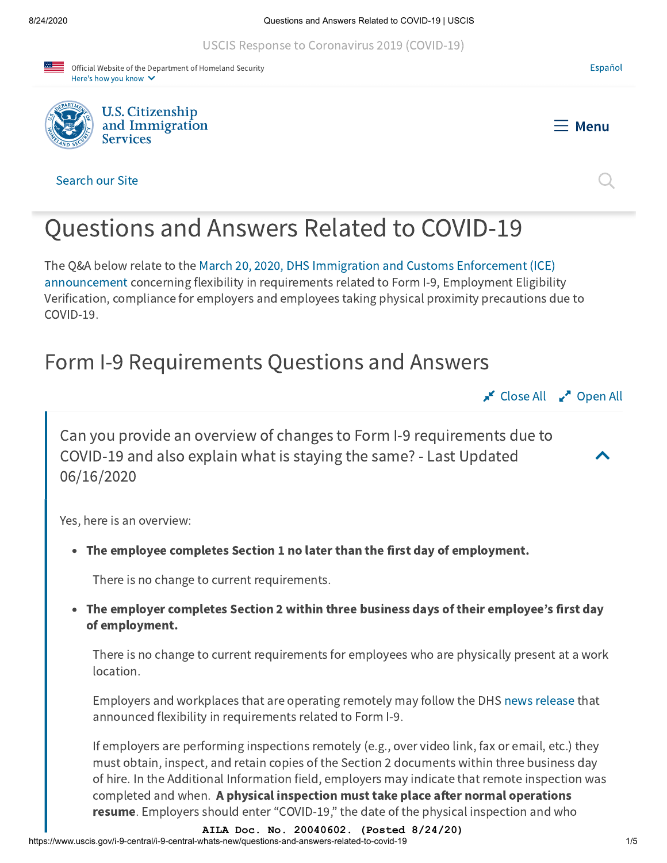[USCIS Response to Coronavirus 2019](https://www.uscis.gov/about-us/uscis-response-to-covid-19) (COVID-19)





COVID-19.



#### Search our Site



[Español](https://www.uscis.gov/es/no-hay-traduccion-disponible)

# Questions and Answers Related to COVID-19

The Q&A below relate to the March 20, 2020, DHS Immigration and Customs Enforcement (ICE) announcement [concerning flexibility in requirements related to Form I-9, Employment Eligibili](https://www.ice.gov/news/releases/dhs-announces-flexibility-requirements-related-form-i-9-compliance)ty Verification, compliance for employers and employees taking physical proximity precautions due to

# Form I-9 Requirements Questions and Answers



 $\blacktriangle$ 

Can you provide an overview of changes to Form I-9 requirements due to COVID-19 and also explain what is staying the same? - Last Updated 06/16/2020

Yes, here is an overview:

The employee completes Section 1 no later than the first day of employment.

There is no change to current requirements.

The employer completes Section 2 within three business days of their employee's first day of employment.

There is no change to current requirements for employees who are physically present at a work location.

Employers and workplaces that are operating remotely may follow the DHS [news release](https://www.ice.gov/news/releases/dhs-announces-flexibility-requirements-related-form-i-9-compliance#wcm-survey-target-id) that announced flexibility in requirements related to Form I-9.

If employers are performing inspections remotely (e.g., over video link, fax or email, etc.) they must obtain, inspect, and retain copies of the Section 2 documents within three business day of hire. In the Additional Information field, employers may indicate that remote inspection was completed and when. A physical inspection must take place after normal operations **resume**. Employers should enter "COVID-19," the date of the physical inspection and who

**AILA Doc. No. 20040602. (Posted 8/24/20)**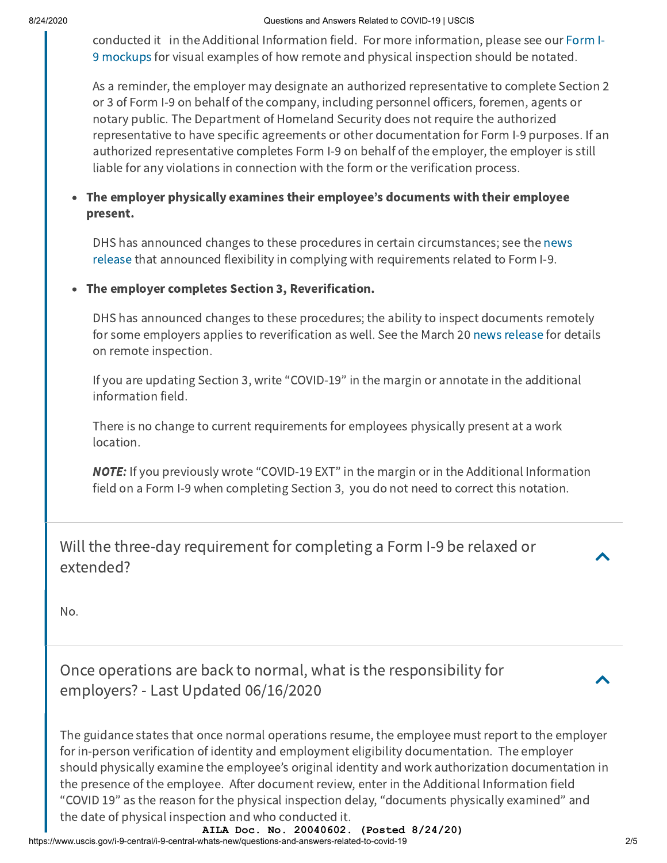conducted it in the Additional Information field. For more information, please see our Form I-[9 mockups for visual examples of how remote and physical inspection should be notated.](https://www.uscis.gov/node/82576/)

As a reminder, the employer may designate an authorized representative to complete Section 2 or 3 of Form I-9 on behalf of the company, including personnel officers, foremen, agents or notary public. The Department of Homeland Security does not require the authorized representative to have specific agreements or other documentation for Form I-9 purposes. If an authorized representative completes Form I-9 on behalf of the employer, the employer is still liable for any violations in connection with the form or the verification process.

### The employer physically examines their employee's documents with their employee present.

[DHS has announced changes to these procedures in certain circumstances; see the](https://www.ice.gov/news/releases/dhs-announces-flexibility-requirements-related-form-i-9-compliance#wcm-survey-target-id) news release that announced flexibility in complying with requirements related to Form I-9.

#### The employer completes Section 3, Reverification.  $\bullet$

DHS has announced changes to these procedures; the ability to inspect documents remotely for some employers applies to reverification as well. See the March 20 [news release](https://www.ice.gov/news/releases/dhs-announces-flexibility-requirements-related-form-i-9-compliance#wcm-survey-target-id) for details on remote inspection.

If you are updating Section 3, write "COVID-19" in the margin or annotate in the additional information field.

There is no change to current requirements for employees physically present at a work location.

**NOTE:** If you previously wrote "COVID-19 EXT" in the margin or in the Additional Information field on a Form I-9 when completing Section 3, you do not need to correct this notation.

Will the three-day requirement for completing a Form I-9 be relaxed or extended?

No.

Once operations are back to normal, what is the responsibility for employers? - Last Updated 06/16/2020

The guidance states that once normal operations resume, the employee must report to the employer for in-person verification of identity and employment eligibility documentation. The employer should physically examine the employee's original identity and work authorization documentation in the presence of the employee. After document review, enter in the Additional Information field "COVID 19" as the reason for the physical inspection delay, "documents physically examined" and the date of physical inspection and who conducted it.

https://www.uscis.gov/i-9-central/i-9-central-whats-new/questions-and-answers-related-to-covid-19 2/5 **AILA Doc. No. 20040602. (Posted 8/24/20)**

 $\blacktriangle$ 

 $\blacktriangle$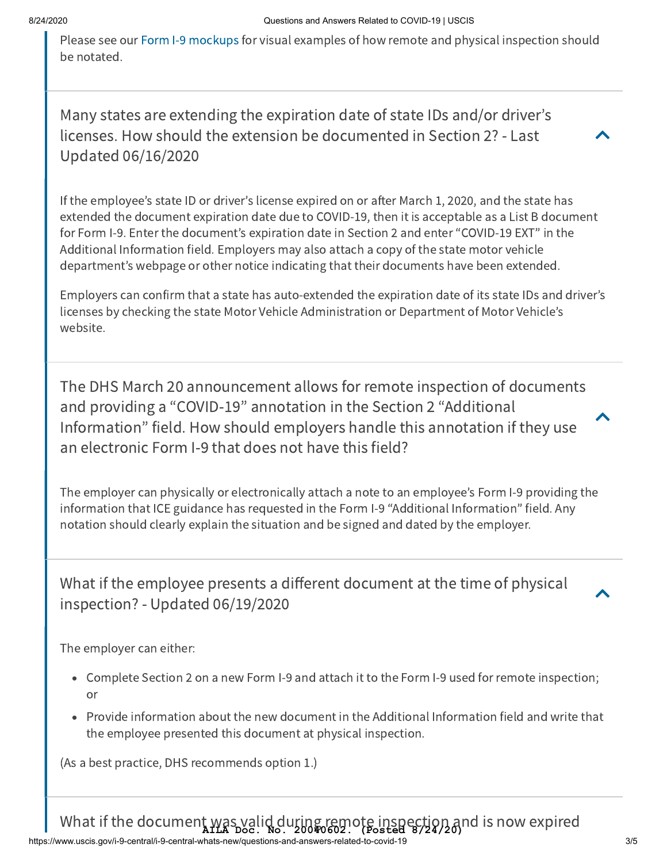Please see our [Form I-9 mockups](https://www.uscis.gov/node/82576/) for visual examples of how remote and physical inspection should be notated.

Many states are extending the expiration date of state IDs and/or driver's licenses. How should the extension be documented in Section 2? - Last Updated 06/16/2020



 $\blacktriangle$ 

 $\blacktriangle$ 

If the employee's state ID or driver's license expired on or after March 1, 2020, and the state has extended the document expiration date due to COVID-19, then it is acceptable as a List B document for Form I-9. Enter the document's expiration date in Section 2 and enter "COVID-19 EXT" in the Additional Information field. Employers may also attach a copy of the state motor vehicle department's webpage or other notice indicating that their documents have been extended.

Employers can confirm that a state has auto-extended the expiration date of its state IDs and driver's licenses by checking the state Motor Vehicle Administration or Department of Motor Vehicle's website.

The DHS March 20 announcement allows for remote inspection of documents and providing a "COVID-19" annotation in the Section 2 "Additional Information" field. How should employers handle this annotation if they use an electronic Form I-9 that does not have this field?

The employer can physically or electronically attach a note to an employee's Form I-9 providing the information that ICE guidance has requested in the Form I-9 "Additional Information" field. Any notation should clearly explain the situation and be signed and dated by the employer.

What if the employee presents a different document at the time of physical inspection? - Updated 06/19/2020

The employer can either:

- Complete Section 2 on a new Form I-9 and attach it to the Form I-9 used for remote inspection; or
- Provide information about the new document in the Additional Information field and write that the employee presented this document at physical inspection.

(As a best practice, DHS recommends option 1.)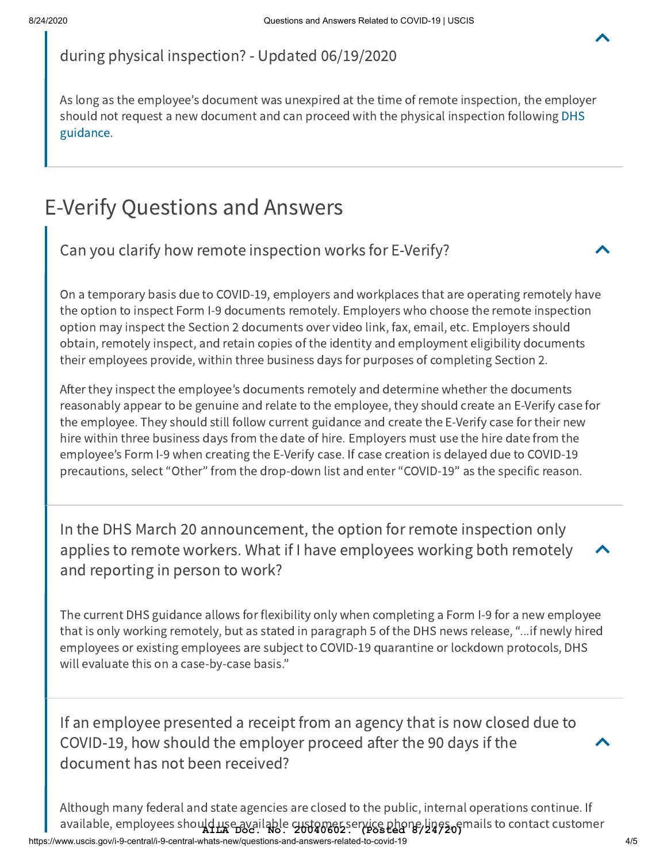

during physical inspection? - Updated 06/19/2020

As long as the employee's document was unexpired at the time of remote inspection, the employer [should not request a new document and can proceed with the physical inspection following DHS](https://www.ice.gov/news/releases/dhs-announces-flexibility-requirements-related-form-i-9-compliance) guidance.

## E-Verify Questions and Answers

Can you clarify how remote inspection works for E-Verify?

On a temporary basis due to COVID-19, employers and workplaces that are operating remotely have the option to inspect Form I-9 documents remotely. Employers who choose the remote inspection option may inspect the Section 2 documents over video link, fax, email, etc. Employers should obtain, remotely inspect, and retain copies of the identity and employment eligibility documents their employees provide, within three business days for purposes of completing Section 2.

After they inspect the employee's documents remotely and determine whether the documents reasonably appear to be genuine and relate to the employee, they should create an E-Verify case for the employee. They should still follow current guidance and create the E-Verify case for their new hire within three business days from the date of hire. Employers must use the hire date from the employee's Form I-9 when creating the E-Verify case. If case creation is delayed due to COVID-19 precautions, select "Other" from the drop-down list and enter "COVID-19" as the specific reason.

In the DHS March 20 announcement, the option for remote inspection only applies to remote workers. What if I have employees working both remotely and reporting in person to work?

The current DHS guidance allows for flexibility only when completing a Form I-9 for a new employee that is only working remotely, but as stated in paragraph 5 of the DHS news release, "...if newly hired employees or existing employees are subject to COVID-19 quarantine or lockdown protocols, DHS will evaluate this on a case-by-case basis."

If an employee presented a receipt from an agency that is now closed due to COVID-19, how should the employer proceed after the 90 days if the document has not been received?

https://www.uscis.gov/i-9-central/i-9-central-whats-new/questions-and-answers-related-to-covid-19 4/5 Although many federal and state agencies are closed to the public, internal operations continue. If available, employees shou**ld use available sustomes** service phone lines of mails to contact customer

 $\blacktriangle$ 

 $\blacktriangle$